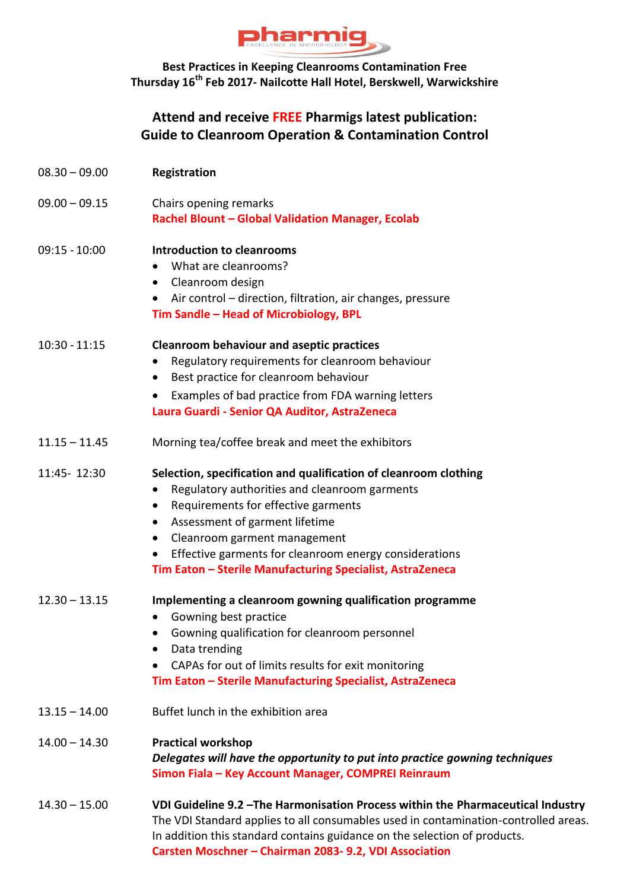

## **Best Practices in Keeping Cleanrooms Contamination Free Thursday 16th Feb 2017- Nailcotte Hall Hotel, Berskwell, Warwickshire**

## **Attend and receive FREE Pharmigs latest publication: Guide to Cleanroom Operation & Contamination Control**

| $08.30 - 09.00$ | Registration                                                                                                                                                                                                                                                                                                                                                   |  |  |
|-----------------|----------------------------------------------------------------------------------------------------------------------------------------------------------------------------------------------------------------------------------------------------------------------------------------------------------------------------------------------------------------|--|--|
| $09.00 - 09.15$ | Chairs opening remarks<br>Rachel Blount - Global Validation Manager, Ecolab                                                                                                                                                                                                                                                                                    |  |  |
| $09:15 - 10:00$ | <b>Introduction to cleanrooms</b><br>What are cleanrooms?<br>Cleanroom design<br>Air control - direction, filtration, air changes, pressure<br>Tim Sandle - Head of Microbiology, BPL                                                                                                                                                                          |  |  |
| $10:30 - 11:15$ | <b>Cleanroom behaviour and aseptic practices</b><br>Regulatory requirements for cleanroom behaviour<br>Best practice for cleanroom behaviour<br>Examples of bad practice from FDA warning letters<br>Laura Guardi - Senior QA Auditor, AstraZeneca                                                                                                             |  |  |
| $11.15 - 11.45$ | Morning tea/coffee break and meet the exhibitors                                                                                                                                                                                                                                                                                                               |  |  |
| 11:45-12:30     | Selection, specification and qualification of cleanroom clothing<br>Regulatory authorities and cleanroom garments<br>$\bullet$<br>Requirements for effective garments<br>Assessment of garment lifetime<br>Cleanroom garment management<br>Effective garments for cleanroom energy considerations<br>Tim Eaton - Sterile Manufacturing Specialist, AstraZeneca |  |  |
| $12.30 - 13.15$ | Implementing a cleanroom gowning qualification programme<br>Gowning best practice<br>Gowning qualification for cleanroom personnel<br>Data trending<br>CAPAs for out of limits results for exit monitoring<br>Tim Eaton - Sterile Manufacturing Specialist, AstraZeneca                                                                                        |  |  |
| $13.15 - 14.00$ | Buffet lunch in the exhibition area                                                                                                                                                                                                                                                                                                                            |  |  |
| $14.00 - 14.30$ | <b>Practical workshop</b><br>Delegates will have the opportunity to put into practice gowning techniques<br>Simon Fiala - Key Account Manager, COMPREI Reinraum                                                                                                                                                                                                |  |  |
| $14.30 - 15.00$ | VDI Guideline 9.2 - The Harmonisation Process within the Pharmaceutical Industry<br>The VDI Standard applies to all consumables used in contamination-controlled areas.<br>In addition this standard contains guidance on the selection of products.<br>Carsten Moschner - Chairman 2083- 9.2, VDI Association                                                 |  |  |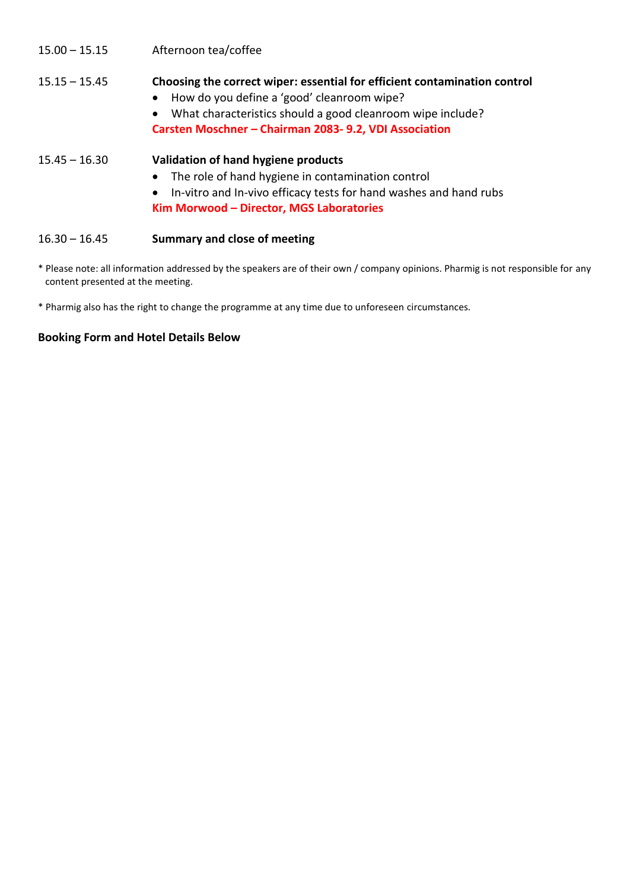| $15.00 - 15.15$ | Afternoon tea/coffee |
|-----------------|----------------------|
|-----------------|----------------------|

## 15.15 – 15.45 **Choosing the correct wiper: essential for efficient contamination control** How do you define a 'good' cleanroom wipe? What characteristics should a good cleanroom wipe include? **Carsten Moschner – Chairman 2083- 9.2, VDI Association**  15.45 – 16.30 **Validation of hand hygiene products** The role of hand hygiene in contamination control In-vitro and In-vivo efficacy tests for hand washes and hand rubs **Kim Morwood – Director, MGS Laboratories** 16.30 – 16.45 **Summary and close of meeting**

- \* Please note: all information addressed by the speakers are of their own / company opinions. Pharmig is not responsible for any content presented at the meeting.
- \* Pharmig also has the right to change the programme at any time due to unforeseen circumstances.

## **Booking Form and Hotel Details Below**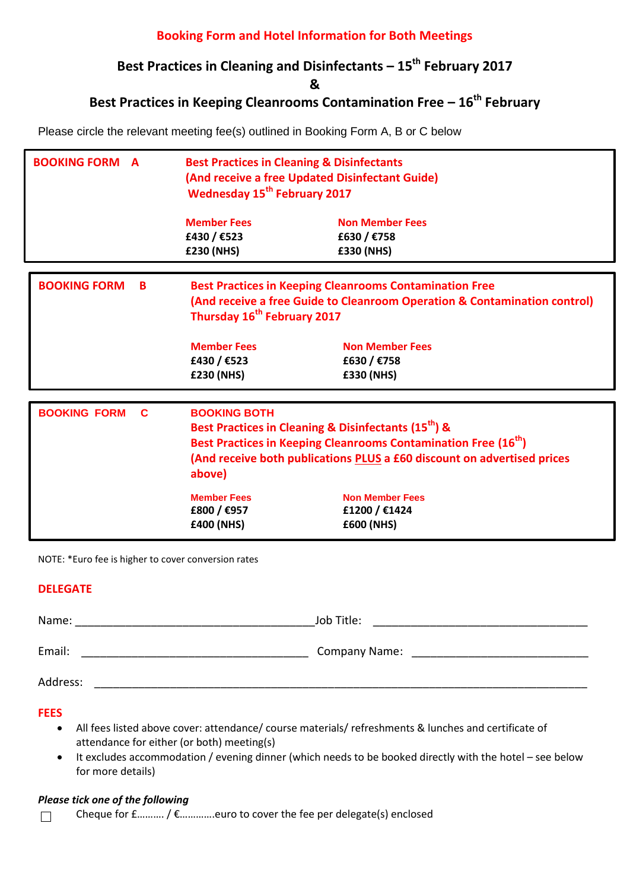### **Booking Form and Hotel Information for Both Meetings**

## **Best Practices in Cleaning and Disinfectants – 15th February 2017**

**&**

# **Best Practices in Keeping Cleanrooms Contamination Free – 16th February**

Please circle the relevant meeting fee(s) outlined in Booking Form A, B or C below

| <b>BOOKING FORM A</b>    | <b>Best Practices in Cleaning &amp; Disinfectants</b><br>(And receive a free Updated Disinfectant Guide)<br><b>Wednesday 15<sup>th</sup> February 2017</b>                                                                                                                                                                                                                     |                                                                                                                                                                                                           |  |
|--------------------------|--------------------------------------------------------------------------------------------------------------------------------------------------------------------------------------------------------------------------------------------------------------------------------------------------------------------------------------------------------------------------------|-----------------------------------------------------------------------------------------------------------------------------------------------------------------------------------------------------------|--|
|                          | <b>Member Fees</b><br>£430 / €523<br>£230 (NHS)                                                                                                                                                                                                                                                                                                                                | <b>Non Member Fees</b><br>£630 / €758<br>£330 (NHS)                                                                                                                                                       |  |
| <b>BOOKING FORM</b><br>B | Thursday 16 <sup>th</sup> February 2017<br><b>Member Fees</b><br>£430 / €523<br>£230 (NHS)                                                                                                                                                                                                                                                                                     | <b>Best Practices in Keeping Cleanrooms Contamination Free</b><br>(And receive a free Guide to Cleanroom Operation & Contamination control)<br><b>Non Member Fees</b><br>£630 / €758<br><b>£330 (NHS)</b> |  |
| <b>BOOKING FORM</b><br>C | <b>BOOKING BOTH</b><br>Best Practices in Cleaning & Disinfectants (15 <sup>th</sup> ) &<br>Best Practices in Keeping Cleanrooms Contamination Free (16 <sup>th</sup> )<br>(And receive both publications PLUS a £60 discount on advertised prices<br>above)<br><b>Member Fees</b><br><b>Non Member Fees</b><br>£800 / €957<br>£1200 / €1424<br>£400 (NHS)<br><b>£600 (NHS)</b> |                                                                                                                                                                                                           |  |

NOTE: \*Euro fee is higher to cover conversion rates

#### **DELEGATE**

| Name:    | Job Title:           |
|----------|----------------------|
| Email:   | <b>Company Name:</b> |
| Address: |                      |

**FEES**

- All fees listed above cover: attendance/ course materials/ refreshments & lunches and certificate of attendance for either (or both) meeting(s)
- It excludes accommodation / evening dinner (which needs to be booked directly with the hotel see below for more details)

#### *Please tick one of the following*

Cheque for £………. / €………….euro to cover the fee per delegate(s) enclosed